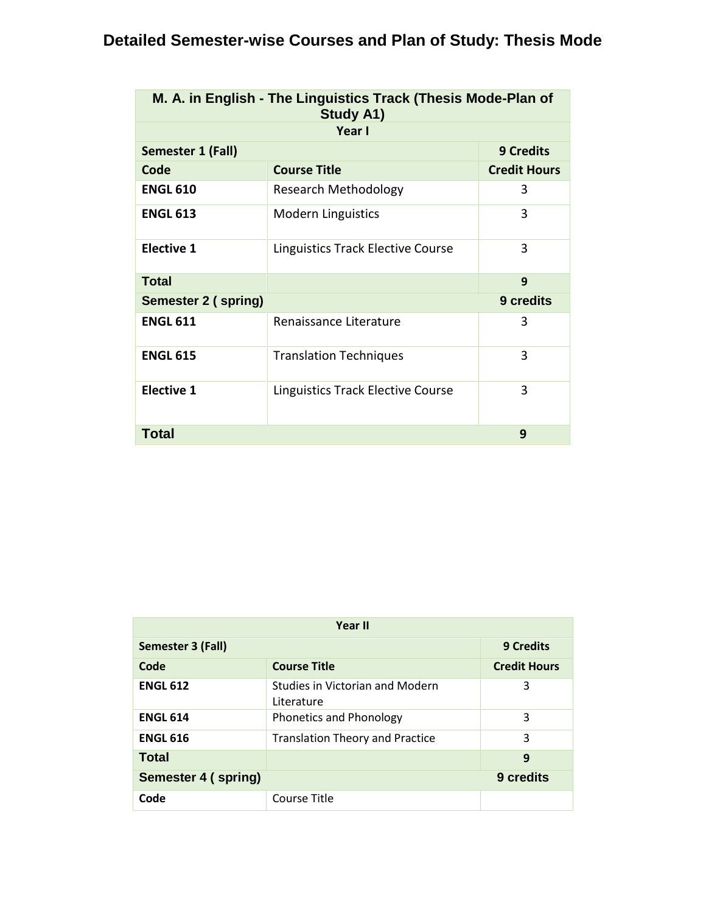# **Detailed Semester-wise Courses and Plan of Study: Thesis Mode**

|                     | M. A. in English - The Linguistics Track (Thesis Mode-Plan of<br><b>Study A1)</b> |                     |
|---------------------|-----------------------------------------------------------------------------------|---------------------|
|                     | Year I                                                                            |                     |
| Semester 1 (Fall)   |                                                                                   | <b>9 Credits</b>    |
| Code                | <b>Course Title</b>                                                               | <b>Credit Hours</b> |
| <b>ENGL 610</b>     | Research Methodology                                                              | 3                   |
| <b>ENGL 613</b>     | <b>Modern Linguistics</b>                                                         | 3                   |
| <b>Elective 1</b>   | Linguistics Track Elective Course                                                 | 3                   |
| <b>Total</b>        |                                                                                   | 9                   |
| Semester 2 (spring) |                                                                                   | 9 credits           |
| <b>ENGL 611</b>     | Renaissance Literature                                                            | 3                   |
| <b>ENGL 615</b>     | <b>Translation Techniques</b>                                                     | 3                   |
| <b>Elective 1</b>   | Linguistics Track Elective Course                                                 | 3                   |
| <b>Total</b>        |                                                                                   | 9                   |

|                     | Year II                                              |                     |
|---------------------|------------------------------------------------------|---------------------|
| Semester 3 (Fall)   |                                                      | <b>9 Credits</b>    |
| Code                | <b>Course Title</b>                                  | <b>Credit Hours</b> |
| <b>ENGL 612</b>     | <b>Studies in Victorian and Modern</b><br>Literature | 3                   |
| <b>ENGL 614</b>     | <b>Phonetics and Phonology</b>                       | 3                   |
| <b>ENGL 616</b>     | <b>Translation Theory and Practice</b>               | 3                   |
| <b>Total</b>        |                                                      | 9                   |
| Semester 4 (spring) |                                                      | 9 credits           |
| Code                | Course Title                                         |                     |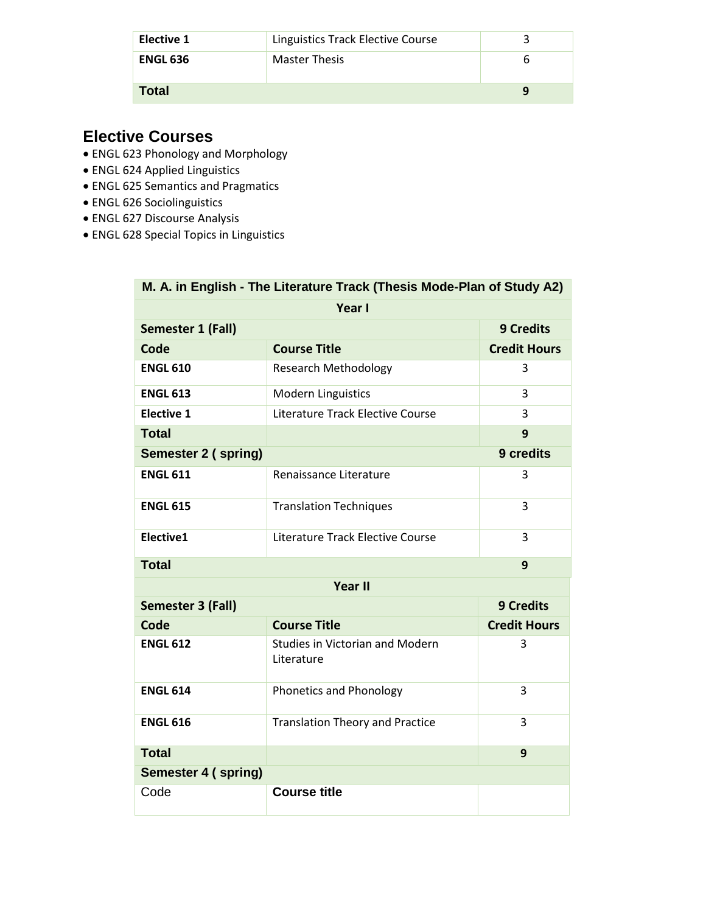| Elective 1      | Linguistics Track Elective Course |   |
|-----------------|-----------------------------------|---|
| <b>ENGL 636</b> | <b>Master Thesis</b>              |   |
| Total           |                                   | a |

- ENGL 623 Phonology and Morphology
- ENGL 624 Applied Linguistics
- ENGL 625 Semantics and Pragmatics
- ENGL 626 Sociolinguistics
- ENGL 627 Discourse Analysis
- ENGL 628 Special Topics in Linguistics

|                     | M. A. in English - The Literature Track (Thesis Mode-Plan of Study A2) |                     |
|---------------------|------------------------------------------------------------------------|---------------------|
|                     | Year I                                                                 |                     |
| Semester 1 (Fall)   |                                                                        | <b>9 Credits</b>    |
| Code                | <b>Course Title</b>                                                    | <b>Credit Hours</b> |
| <b>ENGL 610</b>     | <b>Research Methodology</b>                                            | 3                   |
| <b>ENGL 613</b>     | <b>Modern Linguistics</b>                                              | 3                   |
| <b>Elective 1</b>   | Literature Track Elective Course                                       | 3                   |
| <b>Total</b>        |                                                                        | 9                   |
| Semester 2 (spring) |                                                                        | 9 credits           |
| <b>ENGL 611</b>     | Renaissance Literature                                                 | 3                   |
| <b>ENGL 615</b>     | <b>Translation Techniques</b>                                          | 3                   |
| Elective1           | Literature Track Elective Course                                       | 3                   |
| <b>Total</b>        |                                                                        | 9                   |
|                     | <b>Year II</b>                                                         |                     |
| Semester 3 (Fall)   |                                                                        | <b>9 Credits</b>    |
| Code                | <b>Course Title</b>                                                    | <b>Credit Hours</b> |
| <b>ENGL 612</b>     | <b>Studies in Victorian and Modern</b><br>Literature                   | 3                   |
| <b>ENGL 614</b>     | Phonetics and Phonology                                                | 3                   |
| <b>ENGL 616</b>     | <b>Translation Theory and Practice</b>                                 | 3                   |
| <b>Total</b>        |                                                                        | 9                   |
| Semester 4 (spring) |                                                                        |                     |
| Code                | <b>Course title</b>                                                    |                     |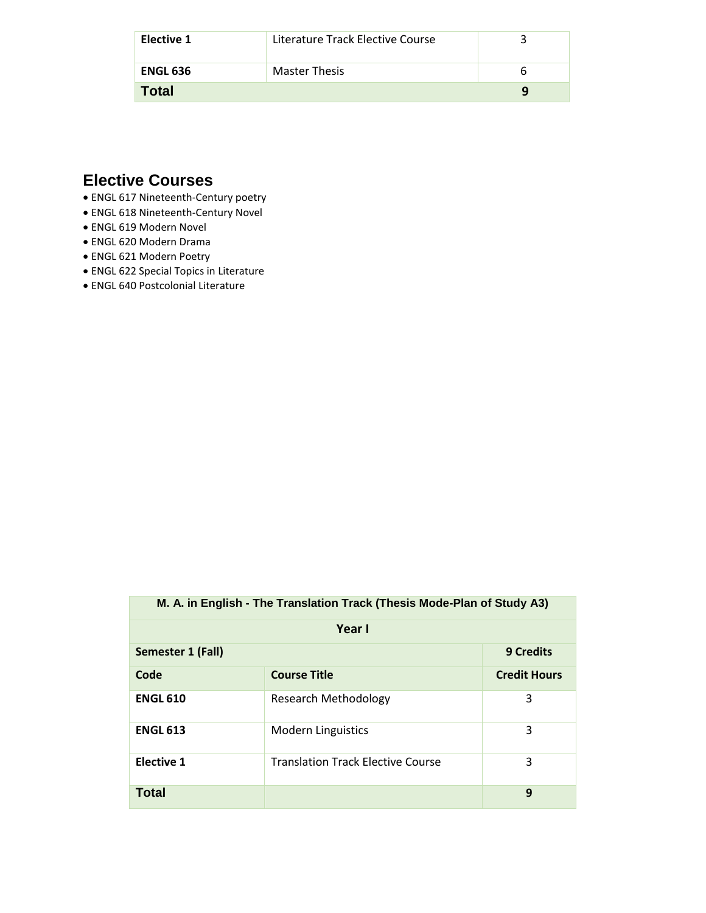| Elective 1      | Literature Track Elective Course |  |
|-----------------|----------------------------------|--|
| <b>ENGL 636</b> | <b>Master Thesis</b>             |  |
| <b>Total</b>    |                                  |  |

- ENGL 617 Nineteenth-Century poetry
- ENGL 618 Nineteenth-Century Novel
- ENGL 619 Modern Novel
- ENGL 620 Modern Drama
- ENGL 621 Modern Poetry
- ENGL 622 Special Topics in Literature
- ENGL 640 Postcolonial Literature

| M. A. in English - The Translation Track (Thesis Mode-Plan of Study A3) |                                          |                     |
|-------------------------------------------------------------------------|------------------------------------------|---------------------|
|                                                                         | Year I                                   |                     |
| Semester 1 (Fall)                                                       |                                          | <b>9 Credits</b>    |
| Code                                                                    | <b>Course Title</b>                      | <b>Credit Hours</b> |
| <b>ENGL 610</b>                                                         | <b>Research Methodology</b>              | 3                   |
| <b>ENGL 613</b>                                                         | <b>Modern Linguistics</b>                | 3                   |
| <b>Elective 1</b>                                                       | <b>Translation Track Elective Course</b> | 3                   |
| Total                                                                   |                                          | 9                   |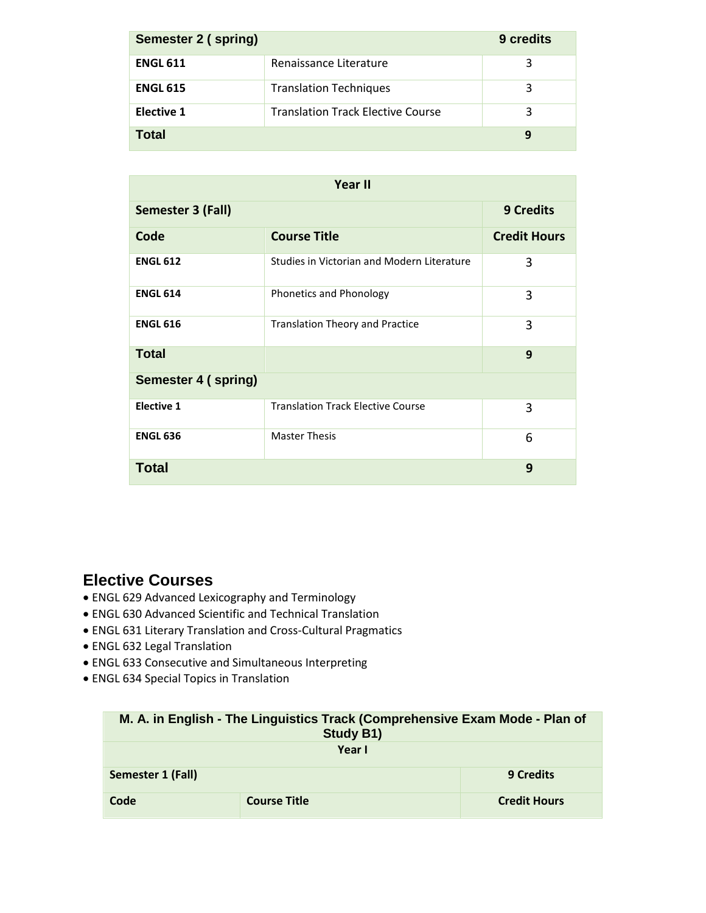| Semester 2 (spring) |                                          | 9 credits |
|---------------------|------------------------------------------|-----------|
| <b>ENGL 611</b>     | Renaissance Literature                   |           |
| <b>ENGL 615</b>     | <b>Translation Techniques</b>            | 3         |
| <b>Elective 1</b>   | <b>Translation Track Elective Course</b> | 3         |
| Total               |                                          | 9         |

|                     | <b>Year II</b>                             |                     |
|---------------------|--------------------------------------------|---------------------|
| Semester 3 (Fall)   |                                            | <b>9 Credits</b>    |
| Code                | <b>Course Title</b>                        | <b>Credit Hours</b> |
| <b>ENGL 612</b>     | Studies in Victorian and Modern Literature | 3                   |
| <b>ENGL 614</b>     | Phonetics and Phonology                    | 3                   |
| <b>ENGL 616</b>     | <b>Translation Theory and Practice</b>     | 3                   |
| <b>Total</b>        |                                            | 9                   |
| Semester 4 (spring) |                                            |                     |
| <b>Elective 1</b>   | <b>Translation Track Elective Course</b>   | 3                   |
| <b>ENGL 636</b>     | <b>Master Thesis</b>                       | 6                   |
| <b>Total</b>        |                                            | 9                   |

- ENGL 629 Advanced Lexicography and Terminology
- ENGL 630 Advanced Scientific and Technical Translation
- ENGL 631 Literary Translation and Cross-Cultural Pragmatics
- ENGL 632 Legal Translation
- ENGL 633 Consecutive and Simultaneous Interpreting
- ENGL 634 Special Topics in Translation

| M. A. in English - The Linguistics Track (Comprehensive Exam Mode - Plan of<br><b>Study B1)</b> |                     |                     |
|-------------------------------------------------------------------------------------------------|---------------------|---------------------|
|                                                                                                 | Year I              |                     |
| Semester 1 (Fall)                                                                               |                     | <b>9 Credits</b>    |
| Code                                                                                            | <b>Course Title</b> | <b>Credit Hours</b> |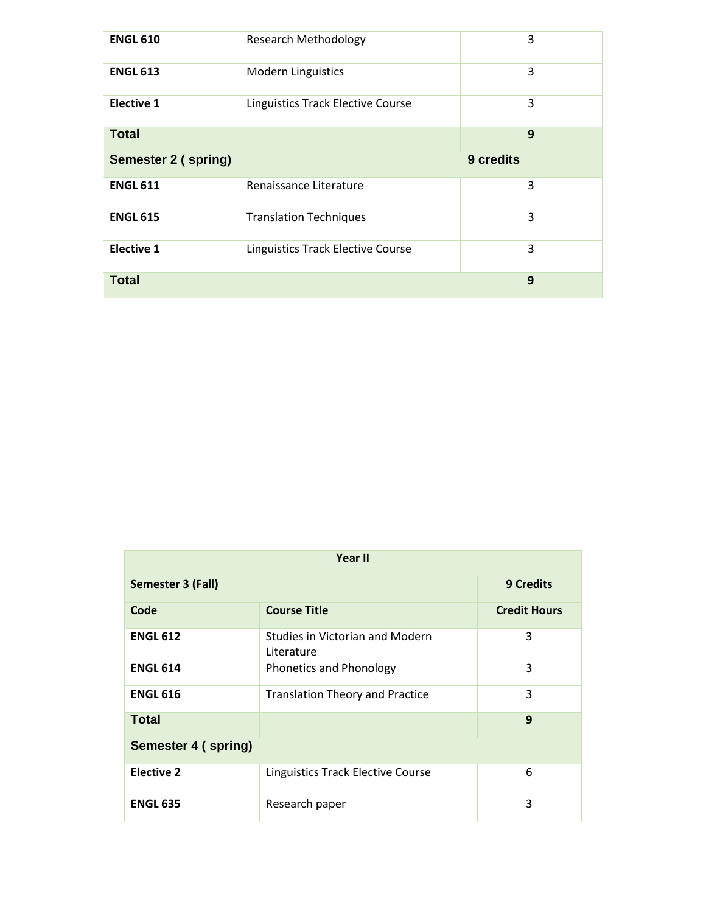| <b>ENGL 610</b>            | <b>Research Methodology</b>              | 3         |
|----------------------------|------------------------------------------|-----------|
| <b>ENGL 613</b>            | <b>Modern Linguistics</b>                | 3         |
| <b>Elective 1</b>          | <b>Linguistics Track Elective Course</b> | 3         |
| <b>Total</b>               |                                          | 9         |
| <b>Semester 2 (spring)</b> |                                          | 9 credits |
|                            |                                          |           |
| <b>ENGL 611</b>            | Renaissance Literature                   | 3         |
| <b>ENGL 615</b>            | <b>Translation Techniques</b>            | 3         |
| <b>Elective 1</b>          | <b>Linguistics Track Elective Course</b> | 3         |

|                     | Year II                                       |                     |
|---------------------|-----------------------------------------------|---------------------|
| Semester 3 (Fall)   |                                               | <b>9 Credits</b>    |
| Code                | <b>Course Title</b>                           | <b>Credit Hours</b> |
| <b>ENGL 612</b>     | Studies in Victorian and Modern<br>Literature | 3                   |
| <b>ENGL 614</b>     | Phonetics and Phonology                       | 3                   |
| <b>ENGL 616</b>     | <b>Translation Theory and Practice</b>        | 3                   |
| <b>Total</b>        |                                               | 9                   |
| Semester 4 (spring) |                                               |                     |
| <b>Elective 2</b>   | Linguistics Track Elective Course             | 6                   |
| <b>ENGL 635</b>     | Research paper                                | 3                   |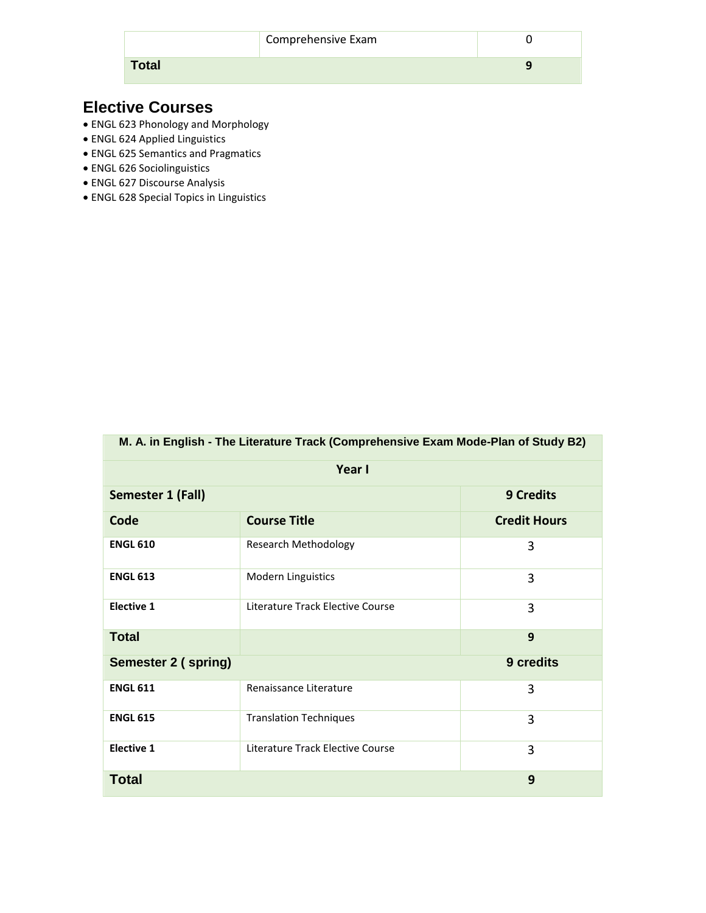| <b>Total</b> |  |
|--------------|--|

- ENGL 623 Phonology and Morphology
- ENGL 624 Applied Linguistics
- ENGL 625 Semantics and Pragmatics
- ENGL 626 Sociolinguistics
- ENGL 627 Discourse Analysis
- ENGL 628 Special Topics in Linguistics

| M. A. in English - The Literature Track (Comprehensive Exam Mode-Plan of Study B2) |                                  |                     |  |
|------------------------------------------------------------------------------------|----------------------------------|---------------------|--|
|                                                                                    | Year I                           |                     |  |
| Semester 1 (Fall)                                                                  |                                  | <b>9 Credits</b>    |  |
| Code                                                                               | <b>Course Title</b>              | <b>Credit Hours</b> |  |
| <b>ENGL 610</b>                                                                    | <b>Research Methodology</b>      | 3                   |  |
| <b>ENGL 613</b>                                                                    | Modern Linguistics               | 3                   |  |
| <b>Elective 1</b>                                                                  | Literature Track Elective Course | 3                   |  |
| <b>Total</b>                                                                       |                                  | 9                   |  |
| <b>Semester 2 (spring)</b>                                                         |                                  | 9 credits           |  |
| <b>ENGL 611</b>                                                                    | Renaissance Literature           | 3                   |  |
| <b>ENGL 615</b>                                                                    | <b>Translation Techniques</b>    | 3                   |  |
| <b>Elective 1</b>                                                                  | Literature Track Elective Course | 3                   |  |
| <b>Total</b>                                                                       |                                  | 9                   |  |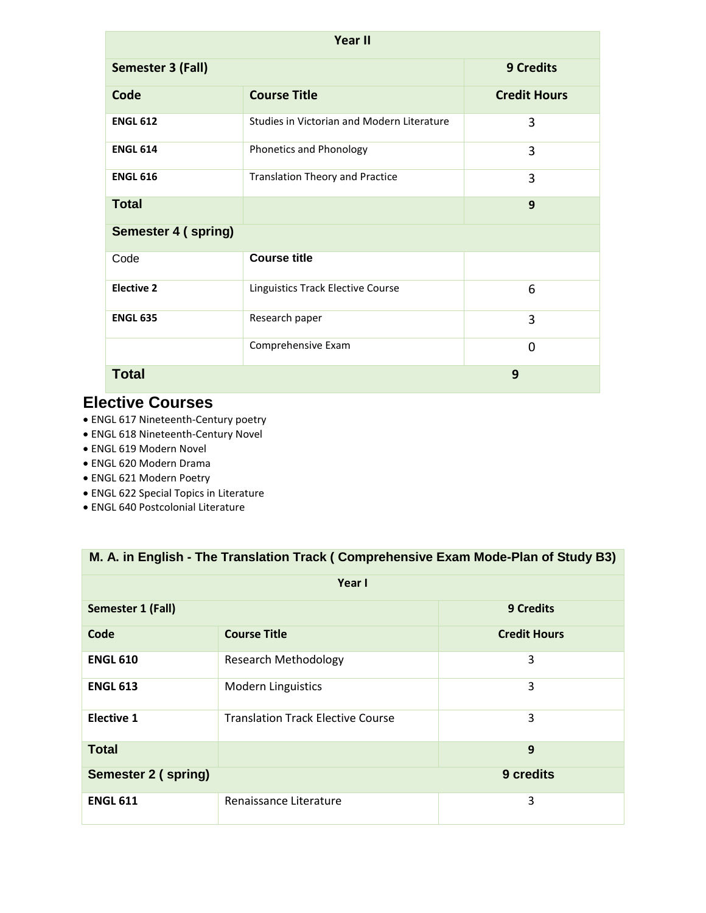| Year II             |                                            |                     |  |
|---------------------|--------------------------------------------|---------------------|--|
| Semester 3 (Fall)   | <b>9 Credits</b>                           |                     |  |
| Code                | <b>Course Title</b>                        | <b>Credit Hours</b> |  |
| <b>ENGL 612</b>     | Studies in Victorian and Modern Literature | 3                   |  |
| <b>ENGL 614</b>     | Phonetics and Phonology                    | 3                   |  |
| <b>ENGL 616</b>     | <b>Translation Theory and Practice</b>     | 3                   |  |
| <b>Total</b>        |                                            | 9                   |  |
| Semester 4 (spring) |                                            |                     |  |
| Code                | <b>Course title</b>                        |                     |  |
| <b>Elective 2</b>   | Linguistics Track Elective Course          | 6                   |  |
| <b>ENGL 635</b>     | Research paper                             | 3                   |  |
|                     | Comprehensive Exam                         | $\mathbf 0$         |  |
| <b>Total</b><br>9   |                                            |                     |  |

- ENGL 617 Nineteenth-Century poetry
- ENGL 618 Nineteenth-Century Novel
- ENGL 619 Modern Novel
- ENGL 620 Modern Drama
- ENGL 621 Modern Poetry
- ENGL 622 Special Topics in Literature
- ENGL 640 Postcolonial Literature

| M. A. in English - The Translation Track (Comprehensive Exam Mode-Plan of Study B3) |                                          |                     |  |  |  |
|-------------------------------------------------------------------------------------|------------------------------------------|---------------------|--|--|--|
|                                                                                     | Year I                                   |                     |  |  |  |
| Semester 1 (Fall)                                                                   |                                          | <b>9 Credits</b>    |  |  |  |
| Code                                                                                | <b>Course Title</b>                      | <b>Credit Hours</b> |  |  |  |
| <b>ENGL 610</b>                                                                     | <b>Research Methodology</b>              | 3                   |  |  |  |
| <b>ENGL 613</b>                                                                     | <b>Modern Linguistics</b>                | 3                   |  |  |  |
| <b>Elective 1</b>                                                                   | <b>Translation Track Elective Course</b> | 3                   |  |  |  |
| <b>Total</b><br>9                                                                   |                                          |                     |  |  |  |
| 9 credits<br>Semester 2 (spring)                                                    |                                          |                     |  |  |  |
| <b>ENGL 611</b>                                                                     | Renaissance Literature                   | 3                   |  |  |  |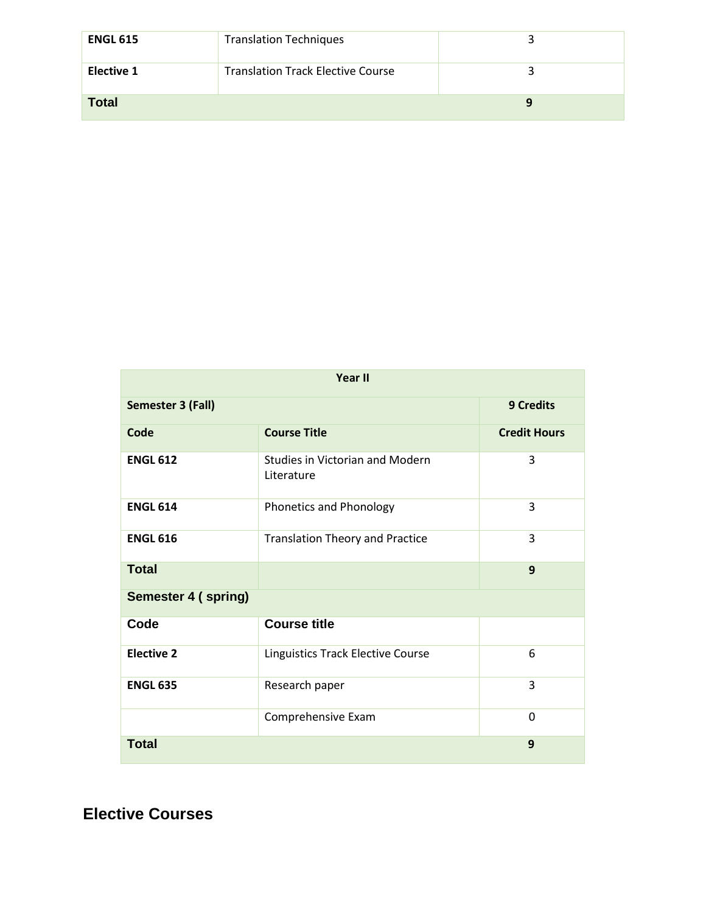| <b>ENGL 615</b>   | <b>Translation Techniques</b>            |  |
|-------------------|------------------------------------------|--|
| <b>Elective 1</b> | <b>Translation Track Elective Course</b> |  |
| <b>Total</b>      |                                          |  |

| <b>Year II</b>      |                                               |                     |  |
|---------------------|-----------------------------------------------|---------------------|--|
| Semester 3 (Fall)   | <b>9 Credits</b>                              |                     |  |
| Code                | <b>Course Title</b>                           | <b>Credit Hours</b> |  |
| <b>ENGL 612</b>     | Studies in Victorian and Modern<br>Literature | 3                   |  |
| <b>ENGL 614</b>     | Phonetics and Phonology                       | 3                   |  |
| <b>ENGL 616</b>     | <b>Translation Theory and Practice</b>        | 3                   |  |
| <b>Total</b>        |                                               | 9                   |  |
| Semester 4 (spring) |                                               |                     |  |
| Code                | <b>Course title</b>                           |                     |  |
| <b>Elective 2</b>   | Linguistics Track Elective Course             | 6                   |  |
| <b>ENGL 635</b>     | Research paper                                | 3                   |  |
|                     | Comprehensive Exam                            | 0                   |  |
| <b>Total</b><br>9   |                                               |                     |  |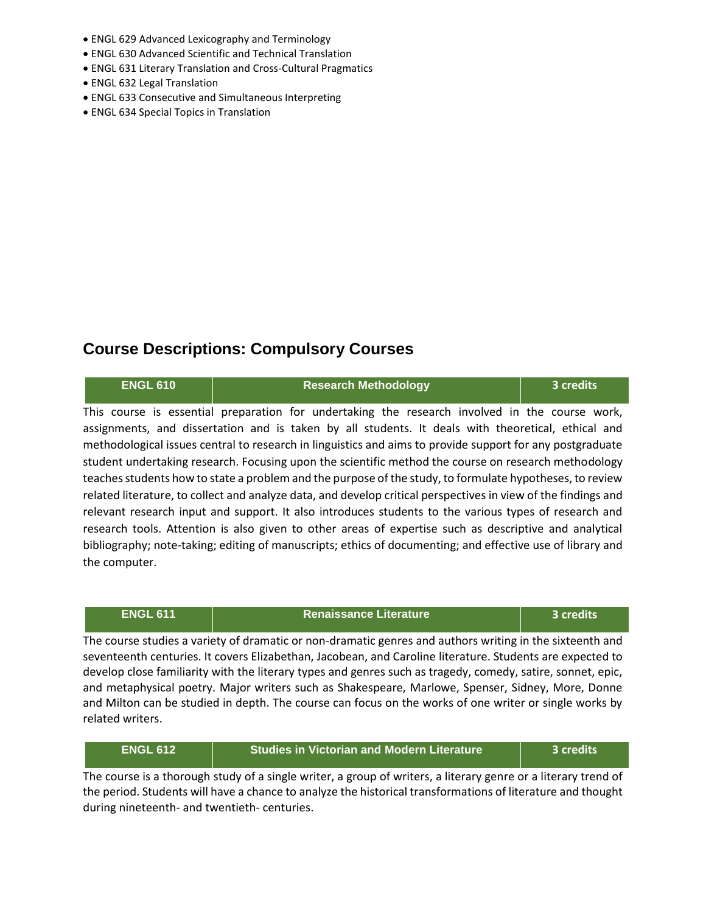- ENGL 629 Advanced Lexicography and Terminology
- ENGL 630 Advanced Scientific and Technical Translation
- ENGL 631 Literary Translation and Cross-Cultural Pragmatics
- ENGL 632 Legal Translation
- ENGL 633 Consecutive and Simultaneous Interpreting
- ENGL 634 Special Topics in Translation

#### **Course Descriptions: Compulsory Courses**

| <b>ENGL 610</b> | <b>Research Methodology</b>                                                                                                                                                                                                                                                                                                                                                                                                                                                                                                           | 3 credits |
|-----------------|---------------------------------------------------------------------------------------------------------------------------------------------------------------------------------------------------------------------------------------------------------------------------------------------------------------------------------------------------------------------------------------------------------------------------------------------------------------------------------------------------------------------------------------|-----------|
|                 | This course is essential preparation for undertaking the research involved in the course work,<br>assignments, and dissertation and is taken by all students. It deals with theoretical, ethical and<br>methodological issues central to research in linguistics and aims to provide support for any postgraduate<br>student undertaking research. Focusing upon the scientific method the course on research methodology<br>teaches students how to state a problem and the purpose of the study, to formulate hypotheses, to review |           |
| the computer.   | related literature, to collect and analyze data, and develop critical perspectives in view of the findings and<br>relevant research input and support. It also introduces students to the various types of research and<br>research tools. Attention is also given to other areas of expertise such as descriptive and analytical<br>bibliography; note-taking; editing of manuscripts; ethics of documenting; and effective use of library and                                                                                       |           |

## **ENGL 611 Renaissance Literature 3 credits** The course studies a variety of dramatic or non-dramatic genres and authors writing in the sixteenth and seventeenth centuries. It covers Elizabethan, Jacobean, and Caroline literature. Students are expected to

develop close familiarity with the literary types and genres such as tragedy, comedy, satire, sonnet, epic, and metaphysical poetry. Major writers such as Shakespeare, Marlowe, Spenser, Sidney, More, Donne and Milton can be studied in depth. The course can focus on the works of one writer or single works by related writers.

| <b>ENGL 612</b> | <b>Studies in Victorian and Modern Literature</b> | . 3 credits' |
|-----------------|---------------------------------------------------|--------------|
|                 |                                                   |              |

The course is a thorough study of a single writer, a group of writers, a literary genre or a literary trend of the period. Students will have a chance to analyze the historical transformations of literature and thought during nineteenth- and twentieth- centuries.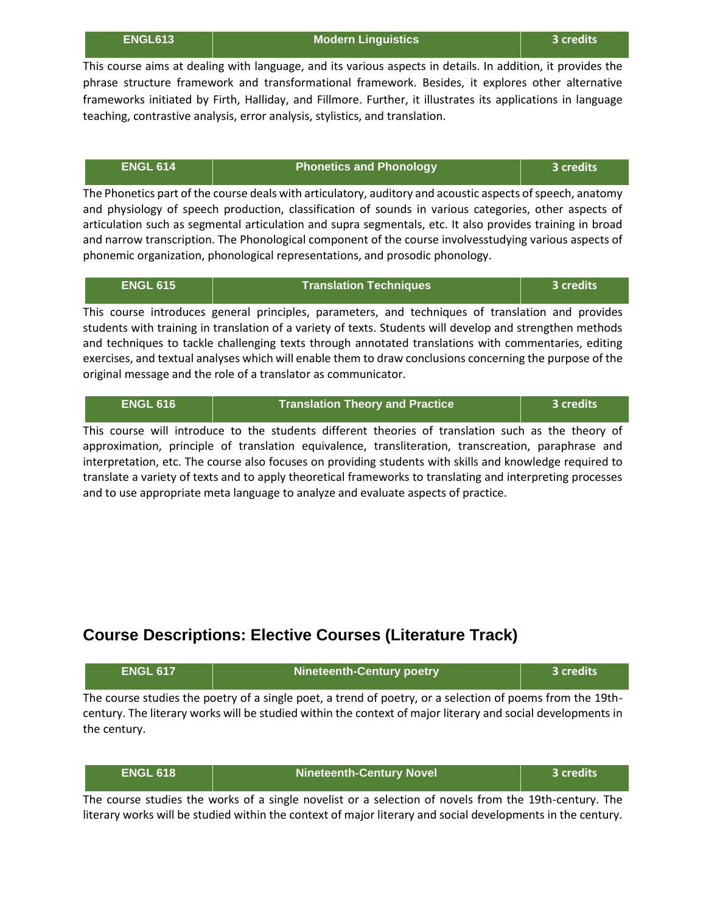| <b>ENGL613</b> |  |  |
|----------------|--|--|
|                |  |  |

**ENGL613 Modern Linguistics 3 credits**

This course aims at dealing with language, and its various aspects in details. In addition, it provides the phrase structure framework and transformational framework. Besides, it explores other alternative frameworks initiated by Firth, Halliday, and Fillmore. Further, it illustrates its applications in language teaching, contrastive analysis, error analysis, stylistics, and translation.

| <b>LENGL 614</b> | <b>Phonetics and Phonology</b> | 3 credits |
|------------------|--------------------------------|-----------|
|                  |                                |           |

The Phonetics part of the course deals with articulatory, auditory and acoustic aspects of speech, anatomy and physiology of speech production, classification of sounds in various categories, other aspects of articulation such as segmental articulation and supra segmentals, etc. It also provides training in broad and narrow transcription. The Phonological component of the course involvesstudying various aspects of phonemic organization, phonological representations, and prosodic phonology.

| <b>ENGL 615</b> | <b>Translation Techniques</b>                                                                             | ا 3 credits |
|-----------------|-----------------------------------------------------------------------------------------------------------|-------------|
|                 | This course introduces general principles, parameters, and techniques of translation and provides         |             |
|                 | students with training in translation of a variety of texts. Students will develop and strengthen methods |             |

students with training in translation of a variety of texts. Students will develop and strengthen methods and techniques to tackle challenging texts through annotated translations with commentaries, editing exercises, and textual analyses which will enable them to draw conclusions concerning the purpose of the original message and the role of a translator as communicator.

| <b>ENGL 616</b> | <b>Translation Theory and Practice</b>                                                          | 3 credits |  |
|-----------------|-------------------------------------------------------------------------------------------------|-----------|--|
|                 | ic course will introduce to the students different theories of translation such as the theory o |           |  |

This course will introduce to the students different theories of translation such as the theory of approximation, principle of translation equivalence, transliteration, transcreation, paraphrase and interpretation, etc. The course also focuses on providing students with skills and knowledge required to translate a variety of texts and to apply theoretical frameworks to translating and interpreting processes and to use appropriate meta language to analyze and evaluate aspects of practice.

#### **Course Descriptions: Elective Courses (Literature Track)**

| <b>ENGL 617</b> | <b>Nineteenth-Century poetry</b>                                                                          | 3 credits |
|-----------------|-----------------------------------------------------------------------------------------------------------|-----------|
|                 | The course studies the poetry of a single poet, a trend of poetry, or a selection of poems from the 19th- |           |

The course studies the poetry of a single poet, a trend of poetry, or a selection of poems from the 19thcentury. The literary works will be studied within the context of major literary and social developments in the century.

| <b>ENGL 618</b> | Nineteenth-Century Novel | 3 credits' |
|-----------------|--------------------------|------------|
|-----------------|--------------------------|------------|

The course studies the works of a single novelist or a selection of novels from the 19th-century. The literary works will be studied within the context of major literary and social developments in the century.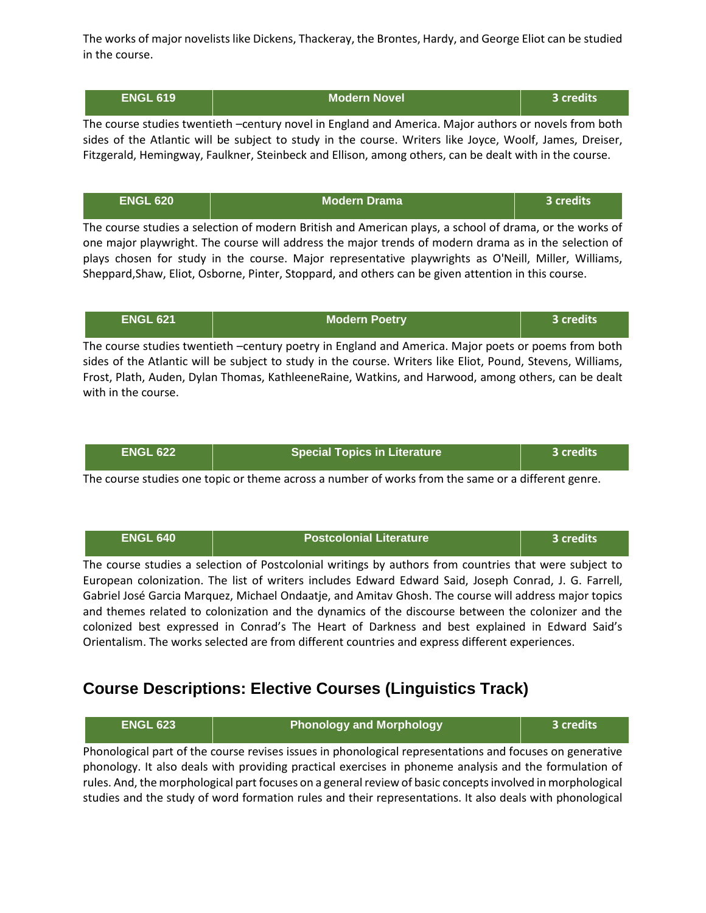The works of major novelists like Dickens, Thackeray, the Brontes, Hardy, and George Eliot can be studied in the course.

| <b>ENGL 619</b> | <b>Modern Novel</b> | <b>3 credits</b> |
|-----------------|---------------------|------------------|
|-----------------|---------------------|------------------|

The course studies twentieth –century novel in England and America. Major authors or novels from both sides of the Atlantic will be subject to study in the course. Writers like Joyce, Woolf, James, Dreiser, Fitzgerald, Hemingway, Faulkner, Steinbeck and Ellison, among others, can be dealt with in the course.

| LENGL 620 \ | <b>Modern Drama</b> | 3 credits <sup>1</sup> |
|-------------|---------------------|------------------------|
|             |                     |                        |

The course studies a selection of modern British and American plays, a school of drama, or the works of one major playwright. The course will address the major trends of modern drama as in the selection of plays chosen for study in the course. Major representative playwrights as O'Neill, Miller, Williams, Sheppard,Shaw, Eliot, Osborne, Pinter, Stoppard, and others can be given attention in this course.

| <b>ENGL 621</b> | <b>Modern Poetry</b>                                                                                        | 3 credits |
|-----------------|-------------------------------------------------------------------------------------------------------------|-----------|
|                 | The course studies twentieth -century poetry in England and America. Major poets or poems from both         |           |
|                 | sides of the Atlantic will be subject to study in the course. Writers like Eliot, Pound, Stevens, Williams, |           |

Frost, Plath, Auden, Dylan Thomas, KathleeneRaine, Watkins, and Harwood, among others, can be dealt with in the course.

| <b>Special Topics in Literature</b><br><b>ENGL 622</b><br>3 credits |  |
|---------------------------------------------------------------------|--|
|---------------------------------------------------------------------|--|

The course studies one topic or theme across a number of works from the same or a different genre.

| <b>ENGL 640</b> | <b>Postcolonial Literature</b>                                                                                                                                                                                                                                                                                                                                                                                   | 3 credits |
|-----------------|------------------------------------------------------------------------------------------------------------------------------------------------------------------------------------------------------------------------------------------------------------------------------------------------------------------------------------------------------------------------------------------------------------------|-----------|
|                 | The course studies a selection of Postcolonial writings by authors from countries that were subject to<br>European colonization. The list of writers includes Edward Edward Said, Joseph Conrad, J. G. Farrell,                                                                                                                                                                                                  |           |
|                 | Gabriel José Garcia Marquez, Michael Ondaatje, and Amitav Ghosh. The course will address major topics<br>and themes related to colonization and the dynamics of the discourse between the colonizer and the<br>colonized best expressed in Conrad's The Heart of Darkness and best explained in Edward Said's<br>Orientalism. The works selected are from different countries and express different experiences. |           |

## **Course Descriptions: Elective Courses (Linguistics Track)**

| <b>ENGL 623</b>                                                                                            | <b>Phonology and Morphology</b>                                                                          | 3 credits |
|------------------------------------------------------------------------------------------------------------|----------------------------------------------------------------------------------------------------------|-----------|
|                                                                                                            | Phonological part of the course revises issues in phonological representations and focuses on generative |           |
| phonology. It also deals with providing practical exercises in phoneme analysis and the formulation of     |                                                                                                          |           |
| rules. And, the morphological part focuses on a general review of basic concepts involved in morphological |                                                                                                          |           |
|                                                                                                            | studies and the study of word formation rules and their representations. It also deals with phonological |           |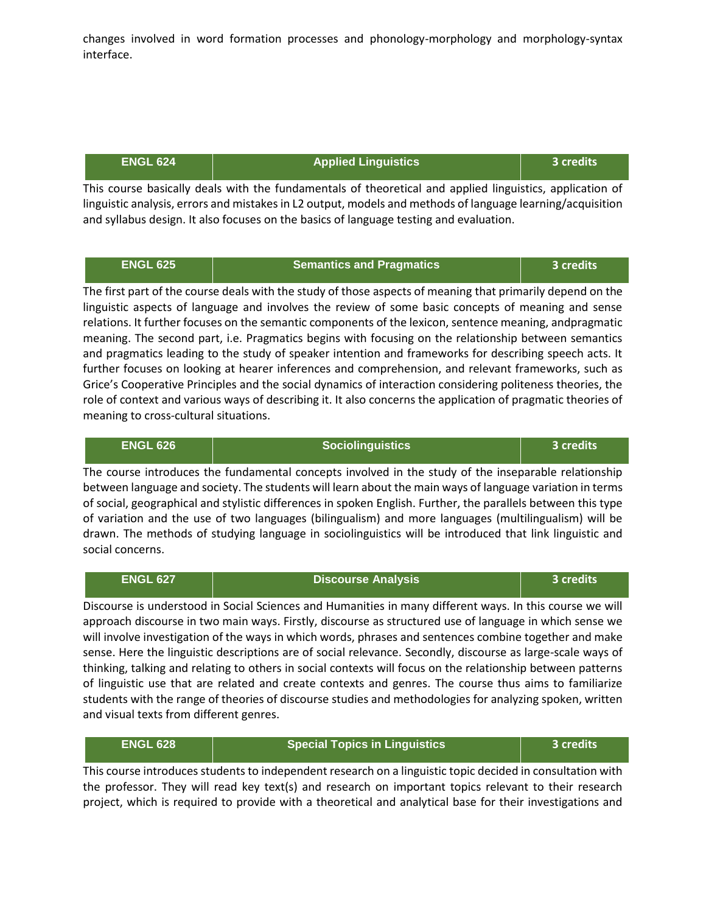changes involved in word formation processes and phonology-morphology and morphology-syntax interface.

| <b>Applied Linguistics</b><br><b>ENGL 624</b><br>ا3 credits |
|-------------------------------------------------------------|
|-------------------------------------------------------------|

This course basically deals with the fundamentals of theoretical and applied linguistics, application of linguistic analysis, errors and mistakes in L2 output, models and methods of language learning/acquisition and syllabus design. It also focuses on the basics of language testing and evaluation.

| <b>ENGL 625</b> | <b>Semantics and Pragmatics</b> | 3 credits |
|-----------------|---------------------------------|-----------|
|                 |                                 |           |

The first part of the course deals with the study of those aspects of meaning that primarily depend on the linguistic aspects of language and involves the review of some basic concepts of meaning and sense relations. It further focuses on the semantic components of the lexicon, sentence meaning, andpragmatic meaning. The second part, i.e. Pragmatics begins with focusing on the relationship between semantics and pragmatics leading to the study of speaker intention and frameworks for describing speech acts. It further focuses on looking at hearer inferences and comprehension, and relevant frameworks, such as Grice's Cooperative Principles and the social dynamics of interaction considering politeness theories, the role of context and various ways of describing it. It also concerns the application of pragmatic theories of meaning to cross-cultural situations.

| <b>ENGL 626</b>                                                                                                                                                                                                           | <b>Sociolinguistics</b>                                                                              | 3 credits |
|---------------------------------------------------------------------------------------------------------------------------------------------------------------------------------------------------------------------------|------------------------------------------------------------------------------------------------------|-----------|
|                                                                                                                                                                                                                           | The course introduces the fundamental concepts involved in the study of the inseparable relationship |           |
| between language and society. The students will learn about the main ways of language variation in terms<br>of social, geographical and stylistic differences in spoken English. Further, the parallels between this type |                                                                                                      |           |
| of variation and the use of two languages (bilingualism) and more languages (multilingualism) will be<br>drawn. The methods of studying language in sociolinguistics will be introduced that link linguistic and          |                                                                                                      |           |
| social concerns.                                                                                                                                                                                                          |                                                                                                      |           |

| <b>ENGL 627</b>                                                                                        | <b>Discourse Analysis</b>                                                                                   | 3 credits |
|--------------------------------------------------------------------------------------------------------|-------------------------------------------------------------------------------------------------------------|-----------|
|                                                                                                        | Discourse is understood in Social Sciences and Humanities in many different ways. In this course we will    |           |
|                                                                                                        | approach discourse in two main ways. Firstly, discourse as structured use of language in which sense we     |           |
| will involve investigation of the ways in which words, phrases and sentences combine together and make |                                                                                                             |           |
|                                                                                                        | sense. Here the linguistic descriptions are of social relevance. Secondly, discourse as large-scale ways of |           |
|                                                                                                        | thinking, talking and relating to others in social contexts will focus on the relationship between patterns |           |
|                                                                                                        | of linguistic use that are related and create contexts and genres. The course thus aims to familiarize      |           |
|                                                                                                        | students with the range of theories of discourse studies and methodologies for analyzing spoken, written    |           |

| <b>ENGL 628</b> | <b>Special Topics in Linguistics</b> | 3 credits' |
|-----------------|--------------------------------------|------------|
|                 |                                      |            |

and visual texts from different genres.

This course introduces students to independent research on a linguistic topic decided in consultation with the professor. They will read key text(s) and research on important topics relevant to their research project, which is required to provide with a theoretical and analytical base for their investigations and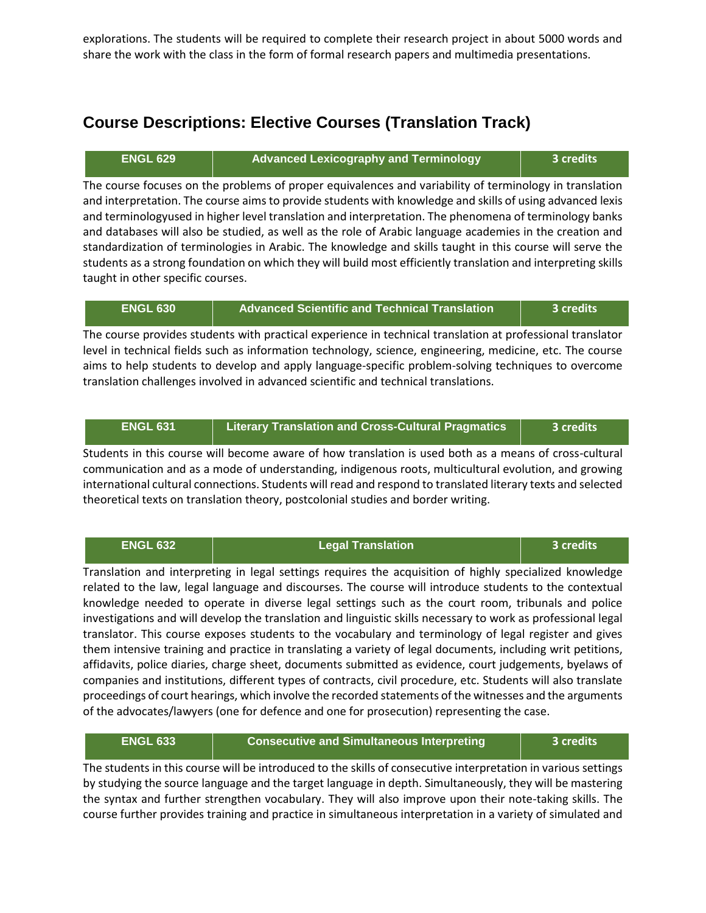explorations. The students will be required to complete their research project in about 5000 words and share the work with the class in the form of formal research papers and multimedia presentations.

### **Course Descriptions: Elective Courses (Translation Track)**

**ENGL 629 Advanced Lexicography and Terminology 3 credits**

The course focuses on the problems of proper equivalences and variability of terminology in translation and interpretation. The course aims to provide students with knowledge and skills of using advanced lexis and terminologyused in higher level translation and interpretation. The phenomena of terminology banks and databases will also be studied, as well as the role of Arabic language academies in the creation and standardization of terminologies in Arabic. The knowledge and skills taught in this course will serve the students as a strong foundation on which they will build most efficiently translation and interpreting skills taught in other specific courses.

| <b>ENGL 630</b> | <b>Advanced Scientific and Technical Translation</b> | 3 credits |
|-----------------|------------------------------------------------------|-----------|
|-----------------|------------------------------------------------------|-----------|

The course provides students with practical experience in technical translation at professional translator level in technical fields such as information technology, science, engineering, medicine, etc. The course aims to help students to develop and apply language-specific problem-solving techniques to overcome translation challenges involved in advanced scientific and technical translations.

| <b>ENGL 631</b> | <b>Literary Translation and Cross-Cultural Pragmatics</b> | 3 credits |
|-----------------|-----------------------------------------------------------|-----------|
|-----------------|-----------------------------------------------------------|-----------|

Students in this course will become aware of how translation is used both as a means of cross-cultural communication and as a mode of understanding, indigenous roots, multicultural evolution, and growing international cultural connections. Students will read and respond to translated literary texts and selected theoretical texts on translation theory, postcolonial studies and border writing.

| <b>ENGL 632</b> | <b>Legal Translation</b>                                                                                      | 3 credits |
|-----------------|---------------------------------------------------------------------------------------------------------------|-----------|
|                 | Translation and interpreting in legal settings requires the acquisition of highly specialized knowledge       |           |
|                 | related to the law, legal language and discourses. The course will introduce students to the contextual       |           |
|                 | knowledge needed to operate in diverse legal settings such as the court room, tribunals and police            |           |
|                 | investigations and will develop the translation and linguistic skills necessary to work as professional legal |           |
|                 | translator. This course exposes students to the vocabulary and terminology of legal register and gives        |           |
|                 | them intensive training and practice in translating a variety of legal documents, including writ petitions,   |           |
|                 | affidavits, police diaries, charge sheet, documents submitted as evidence, court judgements, byelaws of       |           |
|                 | companies and institutions, different types of contracts, civil procedure, etc. Students will also translate  |           |
|                 | proceedings of court hearings, which involve the recorded statements of the witnesses and the arguments       |           |
|                 | of the advocates/lawyers (one for defence and one for prosecution) representing the case.                     |           |

| <b>ENGL 633</b> | <b>Consecutive and Simultaneous Interpreting</b> | 3 credits |
|-----------------|--------------------------------------------------|-----------|
|                 |                                                  |           |

The students in this course will be introduced to the skills of consecutive interpretation in various settings by studying the source language and the target language in depth. Simultaneously, they will be mastering the syntax and further strengthen vocabulary. They will also improve upon their note-taking skills. The course further provides training and practice in simultaneous interpretation in a variety of simulated and